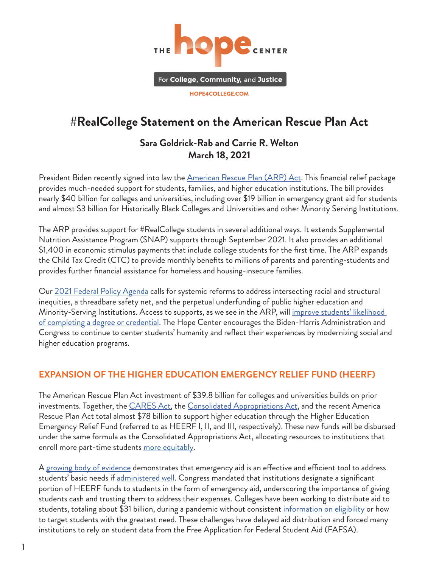

# **#RealCollege Statement on the American Rescue Plan Act**

#### **Sara Goldrick-Rab and Carrie R. Welton March 18, 2021**

President Biden recently signed into law the <u>[American Rescue Plan \(ARP\) Act](https://www.congress.gov/bill/117th-congress/house-bill/1319)</u>. This financial relief package provides much-needed support for students, families, and higher education institutions. The bill provides nearly \$40 billion for colleges and universities, including over \$19 billion in emergency grant aid for students and almost \$3 billion for Historically Black Colleges and Universities and other Minority Serving Institutions.

The ARP provides support for #RealCollege students in several additional ways. It extends Supplemental Nutrition Assistance Program (SNAP) supports through September 2021. It also provides an additional \$1,400 in economic stimulus payments that include college students for the first time. The ARP expands the Child Tax Credit (CTC) to provide monthly benefits to millions of parents and parenting-students and provides further financial assistance for homeless and housing-insecure families.

Our [2021 Federal Policy Agenda](https://hope4college.com/realcollege-federal-policy-agenda-2021/) calls for systemic reforms to address intersecting racial and structural inequities, a threadbare safety net, and the perpetual underfunding of public higher education and Minority-Serving Institutions. Access to supports, as we see in the ARP, will improve students' likelihood [of completing a degree or credential.](https://www.clasp.org/sites/default/files/publications/2017/04/Benefits-Access-for-College-Completion-Lessons-Learned.pdf) The Hope Center encourages the Biden-Harris Administration and Congress to continue to center students' humanity and reflect their experiences by modernizing social and higher education programs.

#### **EXPANSION OF THE HIGHER EDUCATION EMERGENCY RELIEF FUND (HEERF)**

The American Rescue Plan Act investment of \$39.8 billion for colleges and universities builds on prior investments. Together, the **CARES Act**, the **[Consolidated Appropriations Act](https://hope4college.com/hope-center-statement-on-the-consolidated-appropriations-act-2021/)**, and the recent America Rescue Plan Act total almost \$78 billion to support higher education through the Higher Education Emergency Relief Fund (referred to as HEERF I, II, and III, respectively). These new funds will be disbursed under the same formula as the Consolidated Appropriations Act, allocating resources to institutions that enroll more part-time students [more equitably.](https://www.americanprogress.org/issues/education-postsecondary/reports/2020/10/07/491242/78-billion-community-college-funding-shortfall/)

A g<u>rowing body of evidence</u> demonstrates that emergency aid is an effective and efficient tool to address students' basic needs if [administered well.](https://hope4college.com/guide-to-emergency-grant-aid-distribution/) Congress mandated that institutions designate a significant portion of HEERF funds to students in the form of emergency aid, underscoring the importance of giving students cash and trusting them to address their expenses. Colleges have been working to distribute aid to students, totaling about \$31 billion, during a pandemic without consistent [information on eligibility](https://www.americanprogress.org/issues/education-postsecondary/news/2020/06/18/486456/betsy-devos-failed-colleges-students-implementing-cares-act/) or how to target students with the greatest need. These challenges have delayed aid distribution and forced many institutions to rely on student data from the Free Application for Federal Student Aid (FAFSA).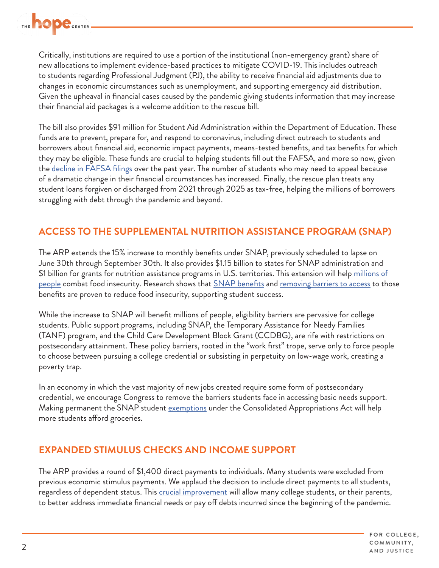

Critically, institutions are required to use a portion of the institutional (non-emergency grant) share of new allocations to implement evidence-based practices to mitigate COVID-19. This includes outreach to students regarding Professional Judgment (PJ), the ability to receive financial aid adjustments due to changes in economic circumstances such as unemployment, and supporting emergency aid distribution. Given the upheaval in financial cases caused by the pandemic giving students information that may increase their financial aid packages is a welcome addition to the rescue bill.

The bill also provides \$91 million for Student Aid Administration within the Department of Education. These funds are to prevent, prepare for, and respond to coronavirus, including direct outreach to students and borrowers about financial aid, economic impact payments, means-tested benefits, and tax benefits for which they may be eligible. These funds are crucial to helping students fill out the FAFSA, and more so now, given the <u>decline in FAFSA filings</u> over the past year. The number of students who may need to appeal because of a dramatic change in their financial circumstances has increased. Finally, the rescue plan treats any student loans forgiven or discharged from 2021 through 2025 as tax-free, helping the millions of borrowers struggling with debt through the pandemic and beyond.

## **ACCESS TO THE SUPPLEMENTAL NUTRITION ASSISTANCE PROGRAM (SNAP)**

The ARP extends the 15% increase to monthly benefits under SNAP, previously scheduled to lapse on June 30th through September 30th. It also provides \$1.15 billion to states for SNAP administration and \$1 billion for grants for nutrition assistance programs in U.S. territories. This extension will help [millions of](https://www.cbpp.org/research/poverty-and-inequality/tracking-the-covid-19-recessions-effects-on-food-housing-and)  [people](https://www.cbpp.org/research/poverty-and-inequality/tracking-the-covid-19-recessions-effects-on-food-housing-and) combat food insecurity. Research shows that *SNAP* benefits and [removing barriers to access](https://thehill.com/opinion/education/526989-college-kids-are-going-hungry-states-can-help) to those benefits are proven to reduce food insecurity, supporting student success.

While the increase to SNAP will benefit millions of people, eligibility barriers are pervasive for college students. Public support programs, including SNAP, the Temporary Assistance for Needy Families (TANF) program, and the Child Care Development Block Grant (CCDBG), are rife with restrictions on postsecondary attainment. These policy barriers, rooted in the "work first" trope, serve only to force people to choose between pursuing a college credential or subsisting in perpetuity on low-wage work, creating a poverty trap.

In an economy in which the vast majority of new jobs created require some form of postsecondary credential, we encourage Congress to remove the barriers students face in accessing basic needs support. Making permanent the SNAP student [exemptions](https://hope4college.com/hope-center-statement-on-the-consolidated-appropriations-act-2021/) under the Consolidated Appropriations Act will help more students afford groceries.

#### **EXPANDED STIMULUS CHECKS AND INCOME SUPPORT**

The ARP provides a round of \$1,400 direct payments to individuals. Many students were excluded from previous economic stimulus payments. We applaud the decision to include direct payments to all students, regardless of dependent status. This [crucial improvement](https://www.forbes.com/sites/markkantrowitz/2020/04/21/most-college-students-will-not-receive-stimulus-checks/?sh=3ffbbedd7e85) will allow many college students, or their parents, to better address immediate financial needs or pay off debts incurred since the beginning of the pandemic.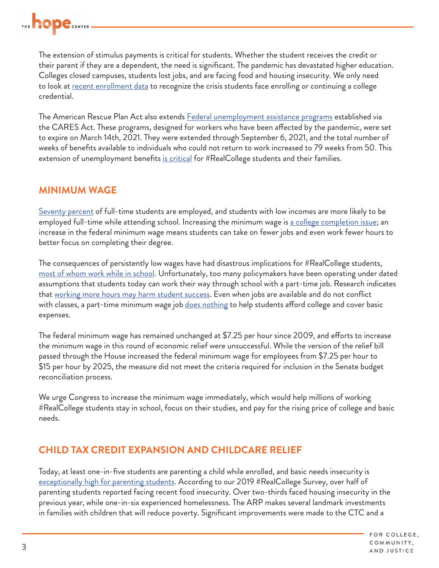

The extension of stimulus payments is critical for students. Whether the student receives the credit or their parent if they are a dependent, the need is significant. The pandemic has devastated higher education. Colleges closed campuses, students lost jobs, and are facing food and housing insecurity. We only need to look at [recent enrollment data](https://nscresearchcenter.org/stay-informed/) to recognize the crisis students face enrolling or continuing a college credential.

The American Rescue Plan Act also extends [Federal unemployment assistance programs](https://blog.dol.gov/2021/01/11/unemployment-benefits-answering-common-questions) established via the CARES Act. These programs, designed for workers who have been affected by the pandemic, were set to expire on March 14th, 2021. They were extended through September 6, 2021, and the total number of weeks of benefits available to individuals who could not return to work increased to 79 weeks from 50. This extension of unemployment benefits [is critical](https://tcf.org/content/commentary/pandemic-unemployment-insurance-mean-college-students/) for #RealCollege students and their families.

#### **MINIMUM WAGE**

[Seventy percent](https://cew.georgetown.edu/cew-reports/learnandearn/#resources) of full-time students are employed, and students with low incomes are more likely to be employed full-time while attending school. Increasing the minimum wage is <u>[a college completion issue](https://saragoldrickrab.com/books/)</u>; an increase in the federal minimum wage means students can take on fewer jobs and even work fewer hours to better focus on completing their degree.

The consequences of persistently low wages have had disastrous implications for #RealCollege students, [most of whom work while in school](https://hope4college.com/realcollege-2020-five-years-of-evidence-on-basic-needs-insecurity/). Unfortunately, too many policymakers have been operating under dated assumptions that students today can work their way through school with a part-time job. Research indicates that <u>working more hours may harm student success</u>. Even when jobs are available and do not conflict with classes, a part-time minimum wage job <u>does nothing</u> to help students afford college and cover basic expenses.

The federal minimum wage has remained unchanged at \$7.25 per hour since 2009, and efforts to increase the minimum wage in this round of economic relief were unsuccessful. While the version of the relief bill passed through the House increased the federal minimum wage for employees from \$7.25 per hour to \$15 per hour by 2025, the measure did not meet the criteria required for inclusion in the Senate budget reconciliation process.

We urge Congress to increase the minimum wage immediately, which would help millions of working #RealCollege students stay in school, focus on their studies, and pay for the rising price of college and basic needs.

#### **CHILD TAX CREDIT EXPANSION AND CHILDCARE RELIEF**

Today, at least one-in-five students are parenting a child while enrolled, and basic needs insecurity is [exceptionally high for parenting students](https://hope4college.com/parenting-while-in-college-basic-needs-insecurity-among-students-with-children/). According to our 2019 #RealCollege Survey, over half of parenting students reported facing recent food insecurity. Over two-thirds faced housing insecurity in the previous year, while one-in-six experienced homelessness. The ARP makes several landmark investments in families with children that will reduce poverty. Significant improvements were made to the CTC and a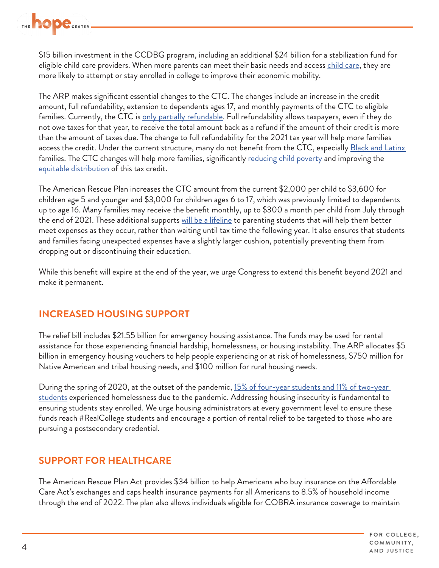

\$15 billion investment in the CCDBG program, including an additional \$24 billion for a stabilization fund for eligible [child care](https://iwpr.org/wp-content/uploads/2020/08/Prioritizing-Student-Parents-in-COVID-19-v2-4.pdf) providers. When more parents can meet their basic needs and access child care, they are more likely to attempt or stay enrolled in college to improve their economic mobility.

The ARP makes significant essential changes to the CTC. The changes include an increase in the credit amount, full refundability, extension to dependents ages 17, and monthly payments of the CTC to eligible families. Currently, the CTC is [only partially refundable.](https://www.brookings.edu/blog/up-front/2021/01/22/what-is-the-child-tax-credit-and-how-much-of-it-is-refundable/) Full refundability allows taxpayers, even if they do not owe taxes for that year, to receive the total amount back as a refund if the amount of their credit is more than the amount of taxes due. The change to full refundability for the 2021 tax year will help more families access the credit. Under the current structure, many do not benefit from the CTC, especially Black and Latinx families. The CTC changes will help more families, significantly [reducing child poverty](https://www.cbpp.org/blog/biden-harris-child-tax-credit-expansion-would-lift-10-million-children-above-or-closer-to) and improving the [equitable distribution](https://www.nber.org/papers/w27940) of this tax credit.

The American Rescue Plan increases the CTC amount from the current \$2,000 per child to \$3,600 for children age 5 and younger and \$3,000 for children ages 6 to 17, which was previously limited to dependents up to age 16. Many families may receive the benefit monthly, up to \$300 a month per child from July through the end of 2021. These additional supports [will be a lifeline](https://www.nytimes.com/2021/03/07/us/politics/child-tax-credit-stimulus.html?referringSource=articleShare) to parenting students that will help them better meet expenses as they occur, rather than waiting until tax time the following year. It also ensures that students and families facing unexpected expenses have a slightly larger cushion, potentially preventing them from dropping out or discontinuing their education.

While this benefit will expire at the end of the year, we urge Congress to extend this benefit beyond 2021 and make it permanent.

#### **INCREASED HOUSING SUPPORT**

The relief bill includes \$21.55 billion for emergency housing assistance. The funds may be used for rental assistance for those experiencing financial hardship, homelessness, or housing instability. The ARP allocates \$5 billion in emergency housing vouchers to help people experiencing or at risk of homelessness, \$750 million for Native American and tribal housing needs, and \$100 million for rural housing needs.

During the spring of 2020, at the outset of the pandemic, 15% of four-year students and 11% of two-year [students](https://hope4college.com/realcollege-during-the-pandemic/) experienced homelessness due to the pandemic. Addressing housing insecurity is fundamental to ensuring students stay enrolled. We urge housing administrators at every government level to ensure these funds reach #RealCollege students and encourage a portion of rental relief to be targeted to those who are pursuing a postsecondary credential.

## **SUPPORT FOR HEALTHCARE**

The American Rescue Plan Act provides \$34 billion to help Americans who buy insurance on the Affordable Care Act's exchanges and caps health insurance payments for all Americans to 8.5% of household income through the end of 2022. The plan also allows individuals eligible for COBRA insurance coverage to maintain